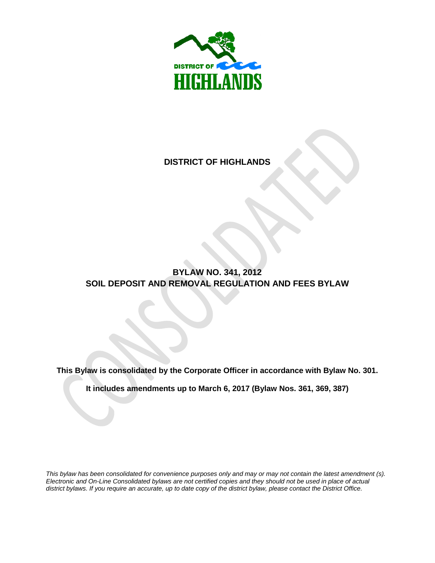

# **DISTRICT OF HIGHLANDS**

# **BYLAW NO. 341, 2012 SOIL DEPOSIT AND REMOVAL REGULATION AND FEES BYLAW**

**This Bylaw is consolidated by the Corporate Officer in accordance with Bylaw No. 301.** 

**It includes amendments up to March 6, 2017 (Bylaw Nos. 361, 369, 387)**

*This bylaw has been consolidated for convenience purposes only and may or may not contain the latest amendment (s). Electronic and On-Line Consolidated bylaws are not certified copies and they should not be used in place of actual district bylaws. If you require an accurate, up to date copy of the district bylaw, please contact the District Office.*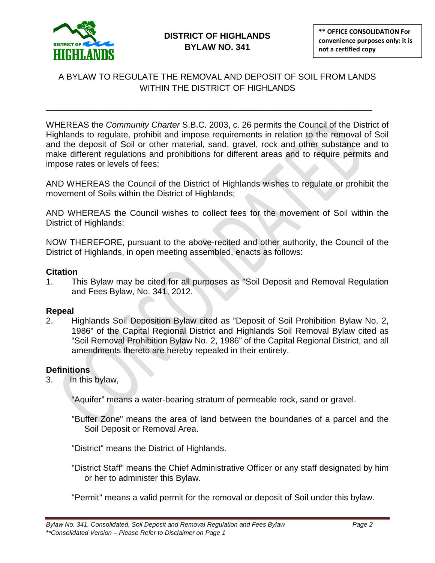

# A BYLAW TO REGULATE THE REMOVAL AND DEPOSIT OF SOIL FROM LANDS WITHIN THE DISTRICT OF HIGHLANDS

\_\_\_\_\_\_\_\_\_\_\_\_\_\_\_\_\_\_\_\_\_\_\_\_\_\_\_\_\_\_\_\_\_\_\_\_\_\_\_\_\_\_\_\_\_\_\_\_\_\_\_\_\_\_\_\_\_\_\_\_\_\_\_\_\_\_\_\_\_\_\_\_

WHEREAS the *Community Charter* S.B.C. 2003, c. 26 permits the Council of the District of Highlands to regulate, prohibit and impose requirements in relation to the removal of Soil and the deposit of Soil or other material, sand, gravel, rock and other substance and to make different regulations and prohibitions for different areas and to require permits and impose rates or levels of fees;

AND WHEREAS the Council of the District of Highlands wishes to regulate or prohibit the movement of Soils within the District of Highlands;

AND WHEREAS the Council wishes to collect fees for the movement of Soil within the District of Highlands:

NOW THEREFORE, pursuant to the above-recited and other authority, the Council of the District of Highlands, in open meeting assembled, enacts as follows:

#### **Citation**

1. This Bylaw may be cited for all purposes as "Soil Deposit and Removal Regulation and Fees Bylaw, No. 341, 2012.

### **Repeal**

2. Highlands Soil Deposition Bylaw cited as "Deposit of Soil Prohibition Bylaw No. 2, 1986" of the Capital Regional District and Highlands Soil Removal Bylaw cited as "Soil Removal Prohibition Bylaw No. 2, 1986" of the Capital Regional District, and all amendments thereto are hereby repealed in their entirety.

### **Definitions**

3. In this bylaw,

"Aquifer" means a water-bearing stratum of permeable rock, sand or gravel.

"Buffer Zone" means the area of land between the boundaries of a parcel and the Soil Deposit or Removal Area.

"District" means the District of Highlands.

"District Staff" means the Chief Administrative Officer or any staff designated by him or her to administer this Bylaw.

"Permit" means a valid permit for the removal or deposit of Soil under this bylaw.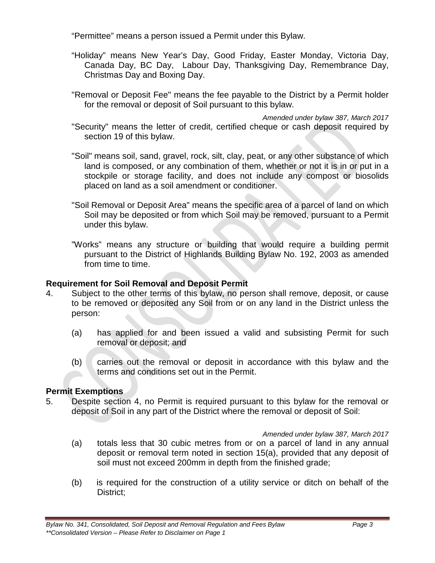"Permittee" means a person issued a Permit under this Bylaw.

- "Holiday" means New Year's Day, Good Friday, Easter Monday, Victoria Day, Canada Day, BC Day, Labour Day, Thanksgiving Day, Remembrance Day, Christmas Day and Boxing Day.
- "Removal or Deposit Fee" means the fee payable to the District by a Permit holder for the removal or deposit of Soil pursuant to this bylaw.

*Amended under bylaw 387, March 2017* "Security" means the letter of credit, certified cheque or cash deposit required by section 19 of this bylaw.

- "Soil" means soil, sand, gravel, rock, silt, clay, peat, or any other substance of which land is composed, or any combination of them, whether or not it is in or put in a stockpile or storage facility, and does not include any compost or biosolids placed on land as a soil amendment or conditioner.
- "Soil Removal or Deposit Area" means the specific area of a parcel of land on which Soil may be deposited or from which Soil may be removed, pursuant to a Permit under this bylaw.
- "Works" means any structure or building that would require a building permit pursuant to the District of Highlands Building Bylaw No. 192, 2003 as amended from time to time.

### **Requirement for Soil Removal and Deposit Permit**

- 4. Subject to the other terms of this bylaw, no person shall remove, deposit, or cause to be removed or deposited any Soil from or on any land in the District unless the person:
	- (a) has applied for and been issued a valid and subsisting Permit for such removal or deposit; and
	- (b) carries out the removal or deposit in accordance with this bylaw and the terms and conditions set out in the Permit.

### **Permit Exemptions**

5. Despite section 4, no Permit is required pursuant to this bylaw for the removal or deposit of Soil in any part of the District where the removal or deposit of Soil:

### *Amended under bylaw 387, March 2017*

- (a) totals less that 30 cubic metres from or on a parcel of land in any annual deposit or removal term noted in section 15(a), provided that any deposit of soil must not exceed 200mm in depth from the finished grade;
- (b) is required for the construction of a utility service or ditch on behalf of the District;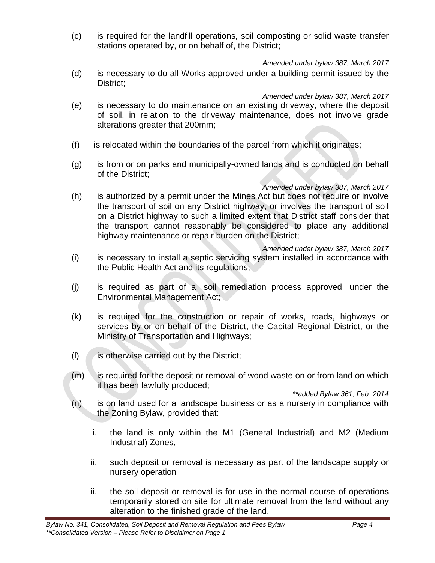(c) is required for the landfill operations, soil composting or solid waste transfer stations operated by, or on behalf of, the District;

*Amended under bylaw 387, March 2017*

(d) is necessary to do all Works approved under a building permit issued by the District;

*Amended under bylaw 387, March 2017*

- (e) is necessary to do maintenance on an existing driveway, where the deposit of soil, in relation to the driveway maintenance, does not involve grade alterations greater that 200mm;
- (f) is relocated within the boundaries of the parcel from which it originates;
- (g) is from or on parks and municipally-owned lands and is conducted on behalf of the District;

### *Amended under bylaw 387, March 2017*

(h) is authorized by a permit under the Mines Act but does not require or involve the transport of soil on any District highway, or involves the transport of soil on a District highway to such a limited extent that District staff consider that the transport cannot reasonably be considered to place any additional highway maintenance or repair burden on the District;

*Amended under bylaw 387, March 2017*

- (i) is necessary to install a septic servicing system installed in accordance with the Public Health Act and its regulations;
- (j) is required as part of a soil remediation process approved under the Environmental Management Act;
- (k) is required for the construction or repair of works, roads, highways or services by or on behalf of the District, the Capital Regional District, or the Ministry of Transportation and Highways;
- $(l)$  is otherwise carried out by the District;
- (m) is required for the deposit or removal of wood waste on or from land on which it has been lawfully produced;

*\*\*added Bylaw 361, Feb. 2014*

- (n) is on land used for a landscape business or as a nursery in compliance with the Zoning Bylaw, provided that:
	- i. the land is only within the M1 (General Industrial) and M2 (Medium Industrial) Zones,
	- ii. such deposit or removal is necessary as part of the landscape supply or nursery operation
	- iii. the soil deposit or removal is for use in the normal course of operations temporarily stored on site for ultimate removal from the land without any alteration to the finished grade of the land.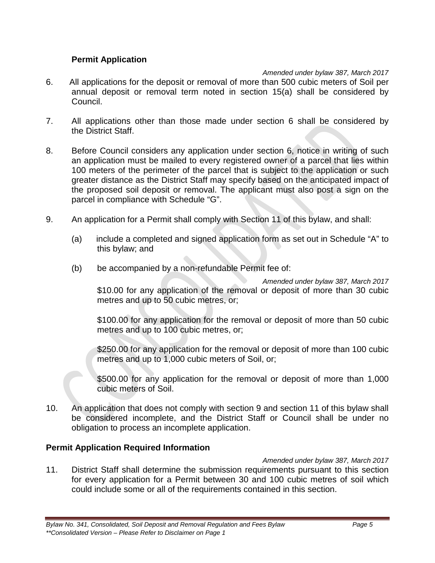### **Permit Application**

### *Amended under bylaw 387, March 2017*

- 6. All applications for the deposit or removal of more than 500 cubic meters of Soil per annual deposit or removal term noted in section 15(a) shall be considered by Council.
- 7. All applications other than those made under section 6 shall be considered by the District Staff.
- 8. Before Council considers any application under section 6, notice in writing of such an application must be mailed to every registered owner of a parcel that lies within 100 meters of the perimeter of the parcel that is subject to the application or such greater distance as the District Staff may specify based on the anticipated impact of the proposed soil deposit or removal. The applicant must also post a sign on the parcel in compliance with Schedule "G".
- 9. An application for a Permit shall comply with Section 11 of this bylaw, and shall:
	- (a) include a completed and signed application form as set out in Schedule "A" to this bylaw; and
	- (b) be accompanied by a non-refundable Permit fee of:

*Amended under bylaw 387, March 2017* \$10.00 for any application of the removal or deposit of more than 30 cubic metres and up to 50 cubic metres, or;

\$100.00 for any application for the removal or deposit of more than 50 cubic metres and up to 100 cubic metres, or;

\$250.00 for any application for the removal or deposit of more than 100 cubic metres and up to 1,000 cubic meters of Soil, or;

\$500.00 for any application for the removal or deposit of more than 1,000 cubic meters of Soil.

10. An application that does not comply with section 9 and section 11 of this bylaw shall be considered incomplete, and the District Staff or Council shall be under no obligation to process an incomplete application.

#### **Permit Application Required Information**

#### *Amended under bylaw 387, March 2017*

11. District Staff shall determine the submission requirements pursuant to this section for every application for a Permit between 30 and 100 cubic metres of soil which could include some or all of the requirements contained in this section.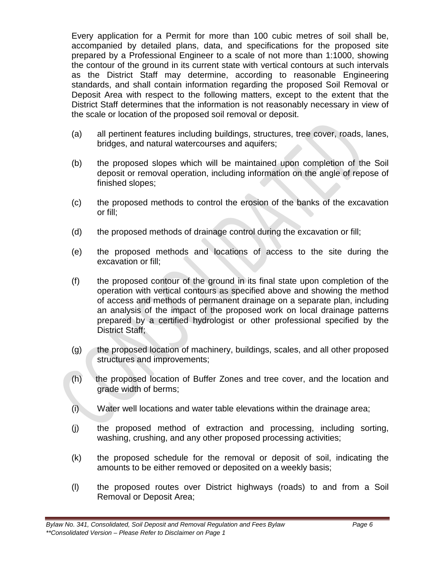Every application for a Permit for more than 100 cubic metres of soil shall be, accompanied by detailed plans, data, and specifications for the proposed site prepared by a Professional Engineer to a scale of not more than 1:1000, showing the contour of the ground in its current state with vertical contours at such intervals as the District Staff may determine, according to reasonable Engineering standards, and shall contain information regarding the proposed Soil Removal or Deposit Area with respect to the following matters, except to the extent that the District Staff determines that the information is not reasonably necessary in view of the scale or location of the proposed soil removal or deposit.

- (a) all pertinent features including buildings, structures, tree cover, roads, lanes, bridges, and natural watercourses and aquifers;
- (b) the proposed slopes which will be maintained upon completion of the Soil deposit or removal operation, including information on the angle of repose of finished slopes;
- (c) the proposed methods to control the erosion of the banks of the excavation or fill;
- (d) the proposed methods of drainage control during the excavation or fill;
- (e) the proposed methods and locations of access to the site during the excavation or fill;
- (f) the proposed contour of the ground in its final state upon completion of the operation with vertical contours as specified above and showing the method of access and methods of permanent drainage on a separate plan, including an analysis of the impact of the proposed work on local drainage patterns prepared by a certified hydrologist or other professional specified by the District Staff;
- (g) the proposed location of machinery, buildings, scales, and all other proposed structures and improvements;
- (h) the proposed location of Buffer Zones and tree cover, and the location and grade width of berms;
- (i) Water well locations and water table elevations within the drainage area;
- (j) the proposed method of extraction and processing, including sorting, washing, crushing, and any other proposed processing activities;
- (k) the proposed schedule for the removal or deposit of soil, indicating the amounts to be either removed or deposited on a weekly basis;
- (l) the proposed routes over District highways (roads) to and from a Soil Removal or Deposit Area;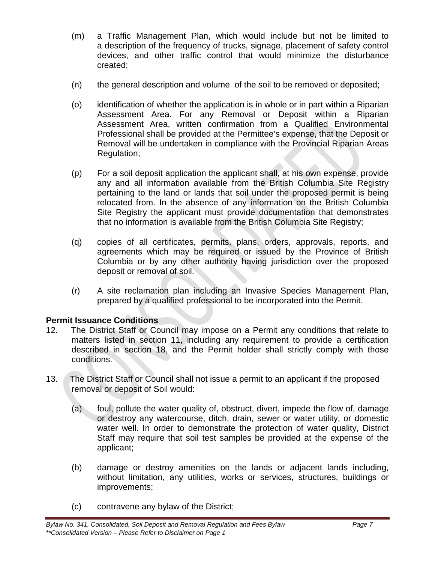- (m) a Traffic Management Plan, which would include but not be limited to a description of the frequency of trucks, signage, placement of safety control devices, and other traffic control that would minimize the disturbance created;
- (n) the general description and volume of the soil to be removed or deposited;
- (o) identification of whether the application is in whole or in part within a Riparian Assessment Area. For any Removal or Deposit within a Riparian Assessment Area, written confirmation from a Qualified Environmental Professional shall be provided at the Permittee's expense, that the Deposit or Removal will be undertaken in compliance with the Provincial Riparian Areas Regulation;
- (p) For a soil deposit application the applicant shall, at his own expense, provide any and all information available from the British Columbia Site Registry pertaining to the land or lands that soil under the proposed permit is being relocated from. In the absence of any information on the British Columbia Site Registry the applicant must provide documentation that demonstrates that no information is available from the British Columbia Site Registry;
- (q) copies of all certificates, permits, plans, orders, approvals, reports, and agreements which may be required or issued by the Province of British Columbia or by any other authority having jurisdiction over the proposed deposit or removal of soil.
- (r) A site reclamation plan including an Invasive Species Management Plan, prepared by a qualified professional to be incorporated into the Permit.

# **Permit Issuance Conditions**

- 12. The District Staff or Council may impose on a Permit any conditions that relate to matters listed in section 11, including any requirement to provide a certification described in section 18, and the Permit holder shall strictly comply with those conditions.
- 13. The District Staff or Council shall not issue a permit to an applicant if the proposed removal or deposit of Soil would:
	- (a) foul, pollute the water quality of, obstruct, divert, impede the flow of, damage or destroy any watercourse, ditch, drain, sewer or water utility, or domestic water well. In order to demonstrate the protection of water quality, District Staff may require that soil test samples be provided at the expense of the applicant;
	- (b) damage or destroy amenities on the lands or adjacent lands including, without limitation, any utilities, works or services, structures, buildings or improvements;
	- (c) contravene any bylaw of the District;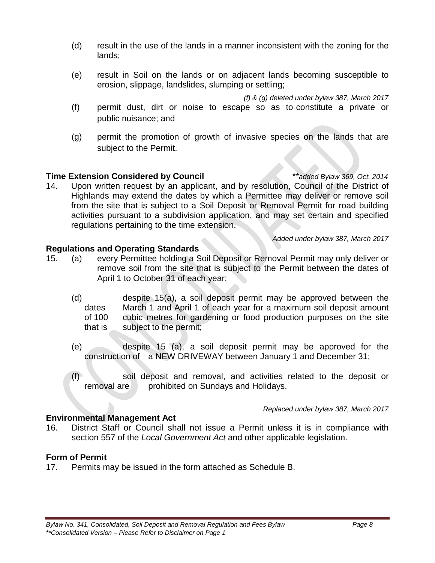- (d) result in the use of the lands in a manner inconsistent with the zoning for the lands;
- (e) result in Soil on the lands or on adjacent lands becoming susceptible to erosion, slippage, landslides, slumping or settling;

*(f) & (g) deleted under bylaw 387, March 2017*

- (f) permit dust, dirt or noise to escape so as to constitute a private or public nuisance; and
- (g) permit the promotion of growth of invasive species on the lands that are subject to the Permit.

### **Time Extension Considered by Council** *\*\*added Bylaw 369, Oct. 2014*

14. Upon written request by an applicant, and by resolution, Council of the District of Highlands may extend the dates by which a Permittee may deliver or remove soil from the site that is subject to a Soil Deposit or Removal Permit for road building activities pursuant to a subdivision application, and may set certain and specified regulations pertaining to the time extension.

*Added under bylaw 387, March 2017*

### **Regulations and Operating Standards**

- 15. (a) every Permittee holding a Soil Deposit or Removal Permit may only deliver or remove soil from the site that is subject to the Permit between the dates of April 1 to October 31 of each year;
	- (d) despite 15(a), a soil deposit permit may be approved between the dates March 1 and April 1 of each year for a maximum soil deposit amount of 100 cubic metres for gardening or food production purposes on the site that is subject to the permit;
	- (e) despite 15 (a), a soil deposit permit may be approved for the construction of a NEW DRIVEWAY between January 1 and December 31;
	- (f) soil deposit and removal, and activities related to the deposit or removal are prohibited on Sundays and Holidays.

*Replaced under bylaw 387, March 2017*

### **Environmental Management Act**

16. District Staff or Council shall not issue a Permit unless it is in compliance with section 557 of the *Local Government Act* and other applicable legislation.

### **Form of Permit**

17. Permits may be issued in the form attached as Schedule B.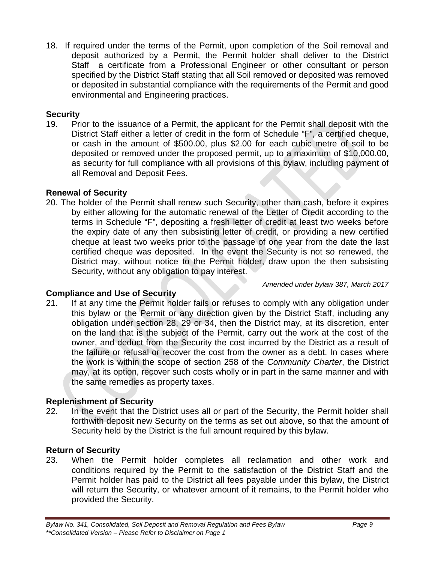18. If required under the terms of the Permit, upon completion of the Soil removal and deposit authorized by a Permit, the Permit holder shall deliver to the District Staff a certificate from a Professional Engineer or other consultant or person specified by the District Staff stating that all Soil removed or deposited was removed or deposited in substantial compliance with the requirements of the Permit and good environmental and Engineering practices.

# **Security**

19. Prior to the issuance of a Permit, the applicant for the Permit shall deposit with the District Staff either a letter of credit in the form of Schedule "F", a certified cheque, or cash in the amount of \$500.00, plus \$2.00 for each cubic metre of soil to be deposited or removed under the proposed permit, up to a maximum of \$10,000.00, as security for full compliance with all provisions of this bylaw, including payment of all Removal and Deposit Fees.

# **Renewal of Security**

20. The holder of the Permit shall renew such Security, other than cash, before it expires by either allowing for the automatic renewal of the Letter of Credit according to the terms in Schedule "F", depositing a fresh letter of credit at least two weeks before the expiry date of any then subsisting letter of credit, or providing a new certified cheque at least two weeks prior to the passage of one year from the date the last certified cheque was deposited. In the event the Security is not so renewed, the District may, without notice to the Permit holder, draw upon the then subsisting Security, without any obligation to pay interest.

*Amended under bylaw 387, March 2017*

# **Compliance and Use of Security**

21. If at any time the Permit holder fails or refuses to comply with any obligation under this bylaw or the Permit or any direction given by the District Staff, including any obligation under section 28, 29 or 34, then the District may, at its discretion, enter on the land that is the subject of the Permit, carry out the work at the cost of the owner, and deduct from the Security the cost incurred by the District as a result of the failure or refusal or recover the cost from the owner as a debt. In cases where the work is within the scope of section 258 of the *Community Charter*, the District may, at its option, recover such costs wholly or in part in the same manner and with the same remedies as property taxes.

# **Replenishment of Security**

22. In the event that the District uses all or part of the Security, the Permit holder shall forthwith deposit new Security on the terms as set out above, so that the amount of Security held by the District is the full amount required by this bylaw.

### **Return of Security**

23. When the Permit holder completes all reclamation and other work and conditions required by the Permit to the satisfaction of the District Staff and the Permit holder has paid to the District all fees payable under this bylaw, the District will return the Security, or whatever amount of it remains, to the Permit holder who provided the Security.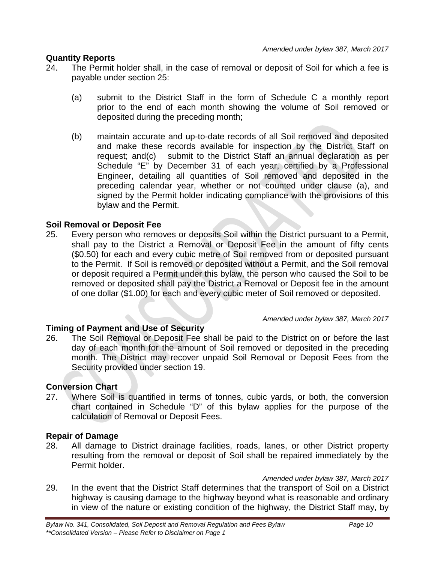### **Quantity Reports**

- 24. The Permit holder shall, in the case of removal or deposit of Soil for which a fee is payable under section 25:
	- (a) submit to the District Staff in the form of Schedule C a monthly report prior to the end of each month showing the volume of Soil removed or deposited during the preceding month;
	- (b) maintain accurate and up-to-date records of all Soil removed and deposited and make these records available for inspection by the District Staff on request; and(c) submit to the District Staff an annual declaration as per Schedule "E" by December 31 of each year, certified by a Professional Engineer, detailing all quantities of Soil removed and deposited in the preceding calendar year, whether or not counted under clause (a), and signed by the Permit holder indicating compliance with the provisions of this bylaw and the Permit.

### **Soil Removal or Deposit Fee**

25. Every person who removes or deposits Soil within the District pursuant to a Permit, shall pay to the District a Removal or Deposit Fee in the amount of fifty cents (\$0.50) for each and every cubic metre of Soil removed from or deposited pursuant to the Permit. If Soil is removed or deposited without a Permit, and the Soil removal or deposit required a Permit under this bylaw, the person who caused the Soil to be removed or deposited shall pay the District a Removal or Deposit fee in the amount of one dollar (\$1.00) for each and every cubic meter of Soil removed or deposited.

### **Timing of Payment and Use of Security**

# *Amended under bylaw 387, March 2017*

26. The Soil Removal or Deposit Fee shall be paid to the District on or before the last day of each month for the amount of Soil removed or deposited in the preceding month. The District may recover unpaid Soil Removal or Deposit Fees from the Security provided under section 19.

### **Conversion Chart**

27. Where Soil is quantified in terms of tonnes, cubic yards, or both, the conversion chart contained in Schedule "D" of this bylaw applies for the purpose of the calculation of Removal or Deposit Fees.

### **Repair of Damage**

28. All damage to District drainage facilities, roads, lanes, or other District property resulting from the removal or deposit of Soil shall be repaired immediately by the Permit holder.

*Amended under bylaw 387, March 2017*

29. In the event that the District Staff determines that the transport of Soil on a District highway is causing damage to the highway beyond what is reasonable and ordinary in view of the nature or existing condition of the highway, the District Staff may, by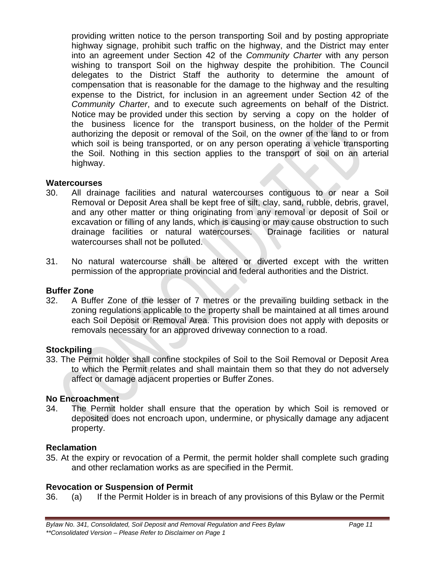providing written notice to the person transporting Soil and by posting appropriate highway signage, prohibit such traffic on the highway, and the District may enter into an agreement under Section 42 of the *Community Charter* with any person wishing to transport Soil on the highway despite the prohibition. The Council delegates to the District Staff the authority to determine the amount of compensation that is reasonable for the damage to the highway and the resulting expense to the District, for inclusion in an agreement under Section 42 of the *Community Charter*, and to execute such agreements on behalf of the District. Notice may be provided under this section by serving a copy on the holder of the business licence for the transport business, on the holder of the Permit authorizing the deposit or removal of the Soil, on the owner of the land to or from which soil is being transported, or on any person operating a vehicle transporting the Soil. Nothing in this section applies to the transport of soil on an arterial highway.

### **Watercourses**

- 30. All drainage facilities and natural watercourses contiguous to or near a Soil Removal or Deposit Area shall be kept free of silt, clay, sand, rubble, debris, gravel, and any other matter or thing originating from any removal or deposit of Soil or excavation or filling of any lands, which is causing or may cause obstruction to such drainage facilities or natural watercourses. Drainage facilities or natural watercourses shall not be polluted.
- 31. No natural watercourse shall be altered or diverted except with the written permission of the appropriate provincial and federal authorities and the District.

### **Buffer Zone**

32. A Buffer Zone of the lesser of 7 metres or the prevailing building setback in the zoning regulations applicable to the property shall be maintained at all times around each Soil Deposit or Removal Area. This provision does not apply with deposits or removals necessary for an approved driveway connection to a road.

### **Stockpiling**

33. The Permit holder shall confine stockpiles of Soil to the Soil Removal or Deposit Area to which the Permit relates and shall maintain them so that they do not adversely affect or damage adjacent properties or Buffer Zones.

### **No Encroachment**

34. The Permit holder shall ensure that the operation by which Soil is removed or deposited does not encroach upon, undermine, or physically damage any adjacent property.

### **Reclamation**

35. At the expiry or revocation of a Permit, the permit holder shall complete such grading and other reclamation works as are specified in the Permit.

### **Revocation or Suspension of Permit**

36. (a) If the Permit Holder is in breach of any provisions of this Bylaw or the Permit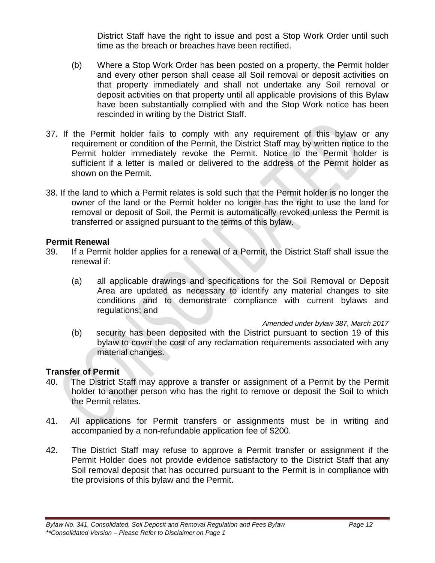District Staff have the right to issue and post a Stop Work Order until such time as the breach or breaches have been rectified.

- (b) Where a Stop Work Order has been posted on a property, the Permit holder and every other person shall cease all Soil removal or deposit activities on that property immediately and shall not undertake any Soil removal or deposit activities on that property until all applicable provisions of this Bylaw have been substantially complied with and the Stop Work notice has been rescinded in writing by the District Staff.
- 37. If the Permit holder fails to comply with any requirement of this bylaw or any requirement or condition of the Permit, the District Staff may by written notice to the Permit holder immediately revoke the Permit. Notice to the Permit holder is sufficient if a letter is mailed or delivered to the address of the Permit holder as shown on the Permit.
- 38. If the land to which a Permit relates is sold such that the Permit holder is no longer the owner of the land or the Permit holder no longer has the right to use the land for removal or deposit of Soil, the Permit is automatically revoked unless the Permit is transferred or assigned pursuant to the terms of this bylaw.

### **Permit Renewal**

- 39. If a Permit holder applies for a renewal of a Permit, the District Staff shall issue the renewal if:
	- (a) all applicable drawings and specifications for the Soil Removal or Deposit Area are updated as necessary to identify any material changes to site conditions and to demonstrate compliance with current bylaws and regulations; and

*Amended under bylaw 387, March 2017*

(b) security has been deposited with the District pursuant to section 19 of this bylaw to cover the cost of any reclamation requirements associated with any material changes.

### **Transfer of Permit**

- 40. The District Staff may approve a transfer or assignment of a Permit by the Permit holder to another person who has the right to remove or deposit the Soil to which the Permit relates.
- 41. All applications for Permit transfers or assignments must be in writing and accompanied by a non-refundable application fee of \$200.
- 42. The District Staff may refuse to approve a Permit transfer or assignment if the Permit Holder does not provide evidence satisfactory to the District Staff that any Soil removal deposit that has occurred pursuant to the Permit is in compliance with the provisions of this bylaw and the Permit.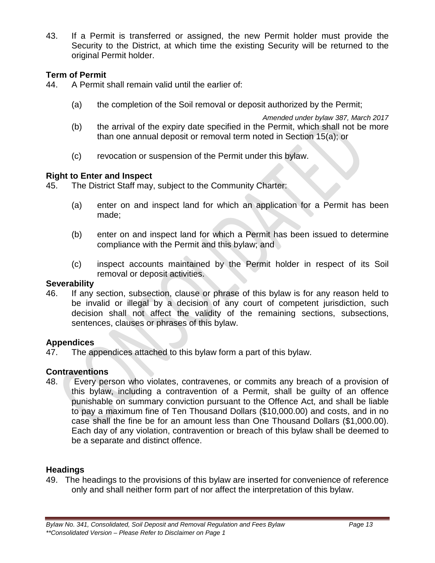43. If a Permit is transferred or assigned, the new Permit holder must provide the Security to the District, at which time the existing Security will be returned to the original Permit holder.

### **Term of Permit**

- 44. A Permit shall remain valid until the earlier of:
	- (a) the completion of the Soil removal or deposit authorized by the Permit;

*Amended under bylaw 387, March 2017*

- (b) the arrival of the expiry date specified in the Permit, which shall not be more than one annual deposit or removal term noted in Section 15(a); or
- (c) revocation or suspension of the Permit under this bylaw.

### **Right to Enter and Inspect**

45. The District Staff may, subject to the Community Charter:

- (a) enter on and inspect land for which an application for a Permit has been made;
- (b) enter on and inspect land for which a Permit has been issued to determine compliance with the Permit and this bylaw; and
- (c) inspect accounts maintained by the Permit holder in respect of its Soil removal or deposit activities.

### **Severability**

46. If any section, subsection, clause or phrase of this bylaw is for any reason held to be invalid or illegal by a decision of any court of competent jurisdiction, such decision shall not affect the validity of the remaining sections, subsections, sentences, clauses or phrases of this bylaw.

### **Appendices**

47. The appendices attached to this bylaw form a part of this bylaw.

### **Contraventions**

48. Every person who violates, contravenes, or commits any breach of a provision of this bylaw, including a contravention of a Permit, shall be guilty of an offence punishable on summary conviction pursuant to the Offence Act, and shall be liable to pay a maximum fine of Ten Thousand Dollars (\$10,000.00) and costs, and in no case shall the fine be for an amount less than One Thousand Dollars (\$1,000.00). Each day of any violation, contravention or breach of this bylaw shall be deemed to be a separate and distinct offence.

### **Headings**

49. The headings to the provisions of this bylaw are inserted for convenience of reference only and shall neither form part of nor affect the interpretation of this bylaw.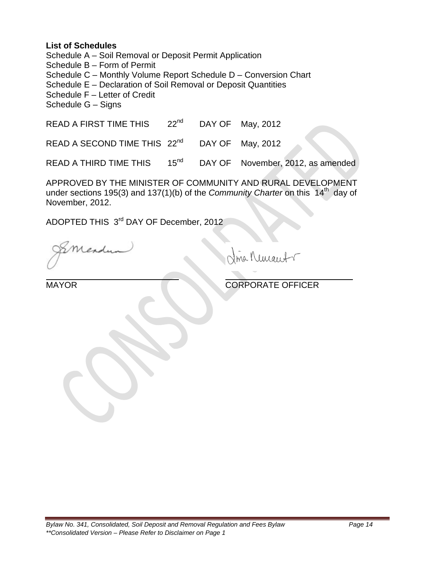### **List of Schedules**

Schedule A – Soil Removal or Deposit Permit Application

Schedule B – Form of Permit

Schedule C – Monthly Volume Report Schedule D – Conversion Chart

Schedule E – Declaration of Soil Removal or Deposit Quantities

Schedule F – Letter of Credit

Schedule G – Signs

READ A FIRST TIME THIS 22<sup>nd</sup> DAY OF May, 2012

READ A SECOND TIME THIS  $22^{nd}$  DAY OF May, 2012

READ A THIRD TIME THIS 15<sup>nd</sup> DAY OF November, 2012, as amended

APPROVED BY THE MINISTER OF COMMUNITY AND RURAL DEVELOPMENT under sections 195(3) and 137(1)(b) of the *Community Charter* on this 14<sup>th</sup> day of November, 2012.

ADOPTED THIS 3rd DAY OF December, 2012

Mendy

ma Nemant

MAYOR CORPORATE OFFICER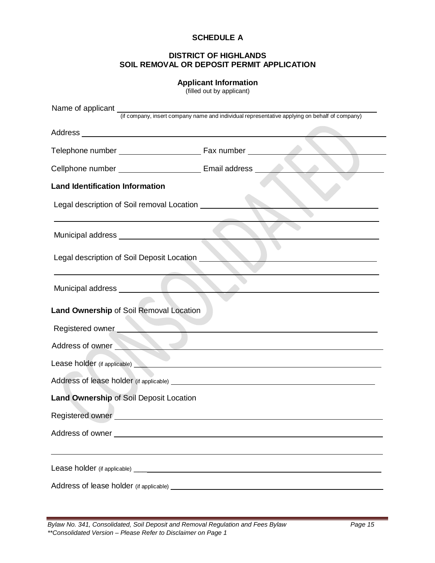#### **SCHEDULE A**

#### **DISTRICT OF HIGHLANDS SOIL REMOVAL OR DEPOSIT PERMIT APPLICATION**

### **Applicant Information**

(filled out by applicant)

|                                                                                                                                                                                                                                     | Name of applicant (if company, insert company name and individual representative applying on behalf of company)      |
|-------------------------------------------------------------------------------------------------------------------------------------------------------------------------------------------------------------------------------------|----------------------------------------------------------------------------------------------------------------------|
|                                                                                                                                                                                                                                     |                                                                                                                      |
|                                                                                                                                                                                                                                     |                                                                                                                      |
|                                                                                                                                                                                                                                     |                                                                                                                      |
| Cellphone number ___________________________________Email address ______________                                                                                                                                                    |                                                                                                                      |
| <b>Land Identification Information</b>                                                                                                                                                                                              |                                                                                                                      |
| Legal description of Soil removal Location                                                                                                                                                                                          |                                                                                                                      |
| Municipal address ___________________________                                                                                                                                                                                       |                                                                                                                      |
| Legal description of Soil Deposit Location ____                                                                                                                                                                                     |                                                                                                                      |
|                                                                                                                                                                                                                                     | <u> 1989 - Johann Barbara, martxa alemaniar amerikan basar da da a shekara a shekara a shekara a shekara a sheka</u> |
| Land Ownership of Soil Removal Location                                                                                                                                                                                             |                                                                                                                      |
| Registered owner                                                                                                                                                                                                                    |                                                                                                                      |
|                                                                                                                                                                                                                                     | Address of owner                                                                                                     |
| Lease holder (if applicable) <b>All and Containers</b> and Containers and Containers and Containers and Containers and Containers and Containers and Containers and Containers and Containers and Containers and Containers and Con |                                                                                                                      |
|                                                                                                                                                                                                                                     |                                                                                                                      |
| Land Ownership of Soil Deposit Location                                                                                                                                                                                             |                                                                                                                      |
| Registered owner                                                                                                                                                                                                                    |                                                                                                                      |
|                                                                                                                                                                                                                                     |                                                                                                                      |
|                                                                                                                                                                                                                                     |                                                                                                                      |
|                                                                                                                                                                                                                                     |                                                                                                                      |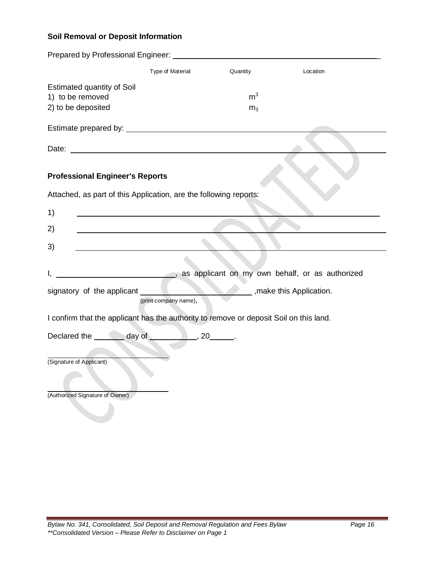# **Soil Removal or Deposit Information**

|                          |                                                                                        | Type of Material      | Quantity       | Location                                        |  |
|--------------------------|----------------------------------------------------------------------------------------|-----------------------|----------------|-------------------------------------------------|--|
|                          | Estimated quantity of Soil                                                             |                       |                |                                                 |  |
|                          | 1) to be removed                                                                       |                       | m <sup>3</sup> |                                                 |  |
|                          | 2) to be deposited                                                                     |                       | m <sub>3</sub> |                                                 |  |
|                          |                                                                                        |                       |                |                                                 |  |
|                          |                                                                                        |                       |                |                                                 |  |
|                          |                                                                                        |                       |                |                                                 |  |
|                          | <b>Professional Engineer's Reports</b>                                                 |                       |                |                                                 |  |
|                          | Attached, as part of this Application, are the following reports:                      |                       |                |                                                 |  |
| 1)                       |                                                                                        |                       |                |                                                 |  |
| 2)                       |                                                                                        |                       |                |                                                 |  |
| 3)                       |                                                                                        |                       |                |                                                 |  |
|                          |                                                                                        |                       |                |                                                 |  |
|                          |                                                                                        |                       |                | as applicant on my own behalf, or as authorized |  |
|                          | signatory of the applicant _________                                                   |                       |                | make this Application.                          |  |
|                          |                                                                                        | (print company name), |                |                                                 |  |
|                          | I confirm that the applicant has the authority to remove or deposit Soil on this land. |                       |                |                                                 |  |
|                          | Declared the ________ day of _____________, 20_______.                                 |                       |                |                                                 |  |
|                          |                                                                                        |                       |                |                                                 |  |
| (Signature of Applicant) |                                                                                        |                       |                |                                                 |  |
|                          |                                                                                        |                       |                |                                                 |  |
|                          | (Authorized Signature of Owner)                                                        |                       |                |                                                 |  |
|                          |                                                                                        |                       |                |                                                 |  |
|                          |                                                                                        |                       |                |                                                 |  |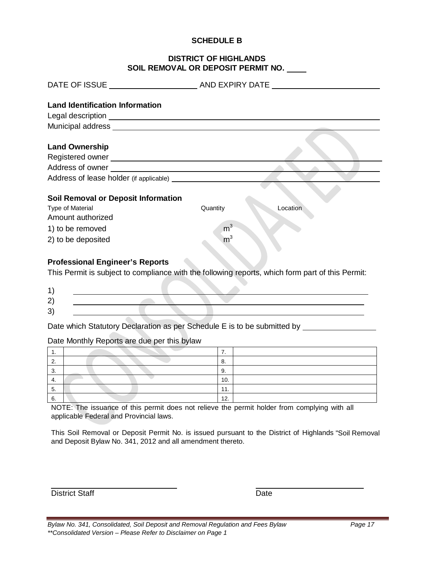#### **SCHEDULE B**

#### **DISTRICT OF HIGHLANDS SOIL REMOVAL OR DEPOSIT PERMIT NO.**

| <b>Land Identification Information</b>                                                                                                                                                                                               |                      |
|--------------------------------------------------------------------------------------------------------------------------------------------------------------------------------------------------------------------------------------|----------------------|
| Legal description <u>example and the set of the set of the set of the set of the set of the set of the set of the set of the set of the set of the set of the set of the set of the set of the set of the set of the set of the </u> |                      |
|                                                                                                                                                                                                                                      |                      |
|                                                                                                                                                                                                                                      |                      |
| <b>Land Ownership</b>                                                                                                                                                                                                                |                      |
|                                                                                                                                                                                                                                      |                      |
| Address of owner experience and the state of the state of the state of the state of the state of the state of the state of the state of the state of the state of the state of the state of the state of the state of the stat       |                      |
|                                                                                                                                                                                                                                      |                      |
|                                                                                                                                                                                                                                      |                      |
| <b>Soil Removal or Deposit Information</b>                                                                                                                                                                                           |                      |
| <b>Type of Material</b>                                                                                                                                                                                                              | Quantity<br>Location |
| Amount authorized                                                                                                                                                                                                                    |                      |
| 1) to be removed                                                                                                                                                                                                                     | m <sup>3</sup>       |
| 2) to be deposited                                                                                                                                                                                                                   | m <sup>3</sup>       |

### **Professional Engineer's Reports**

This Permit is subject to compliance with the following reports, which form part of this Permit:

Date which Statutory Declaration as per Schedule E is to be submitted by \_\_\_\_\_\_\_\_

#### Date Monthly Reports are due per this bylaw

| . .      | . . |
|----------|-----|
| <u>.</u> | ο.  |
| ◡.       | У.  |
| ┭.       | 10. |
| υ.       | 11. |
| O.       | 12. |

NOTE: The issuance of this permit does not relieve the permit holder from complying with all applicable Federal and Provincial laws.

This Soil Removal or Deposit Permit No. is issued pursuant to the District of Highlands "Soil Removal and Deposit Bylaw No. 341, 2012 and all amendment thereto.

District Staff District Staff Date

*Bylaw No. 341, Consolidated, Soil Deposit and Removal Regulation and Fees Bylaw Page 17 \*\*Consolidated Version – Please Refer to Disclaimer on Page 1*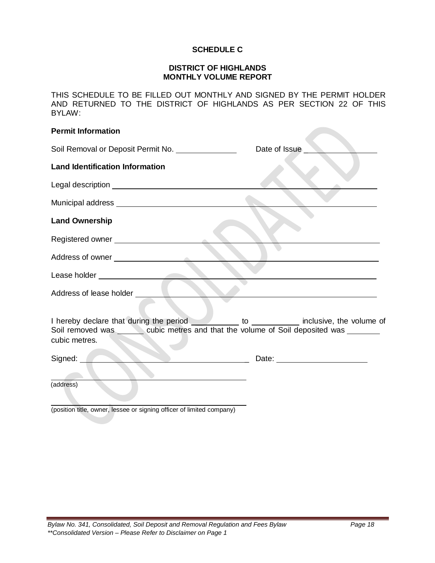### **SCHEDULE C**

#### **DISTRICT OF HIGHLANDS MONTHLY VOLUME REPORT**

THIS SCHEDULE TO BE FILLED OUT MONTHLY AND SIGNED BY THE PERMIT HOLDER AND RETURNED TO THE DISTRICT OF HIGHLANDS AS PER SECTION 22 OF THIS BYLAW:

| <b>Permit Information</b>                                                                                                                                                                                  |               |
|------------------------------------------------------------------------------------------------------------------------------------------------------------------------------------------------------------|---------------|
| Soil Removal or Deposit Permit No. [100] Notal Lines                                                                                                                                                       | Date of Issue |
| <b>Land Identification Information</b>                                                                                                                                                                     |               |
|                                                                                                                                                                                                            |               |
|                                                                                                                                                                                                            |               |
| <b>Land Ownership</b>                                                                                                                                                                                      |               |
| Registered owner ________________________                                                                                                                                                                  |               |
|                                                                                                                                                                                                            |               |
|                                                                                                                                                                                                            |               |
|                                                                                                                                                                                                            |               |
| I hereby declare that during the period ____________ to _____________ inclusive, the volume of<br>Soil removed was _______ cubic metres and that the volume of Soil deposited was _______<br>cubic metres. |               |
| Signed:                                                                                                                                                                                                    |               |
| (address)                                                                                                                                                                                                  |               |
| (position title, owner, lessee or signing officer of limited company)                                                                                                                                      |               |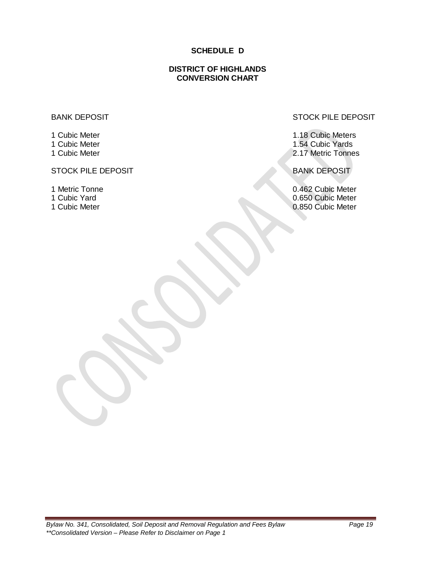### **SCHEDULE D**

### **DISTRICT OF HIGHLANDS CONVERSION CHART**

#### BANK DEPOSIT

1 Cubic Meter 1 Cubic Meter 1 Cubic Meter

### STOCK PILE DEPOSIT BANK DEPOSIT

- 1 Metric Tonne
- 1 Cubic Yard
- 1 Cubic Meter

#### STOCK PILE DEPOSIT

1.18 Cubic Meters 1.54 Cubic Yards 2.17 Metric Tonnes

0.462 Cubic Meter 0.650 Cubic Meter 0.850 Cubic Meter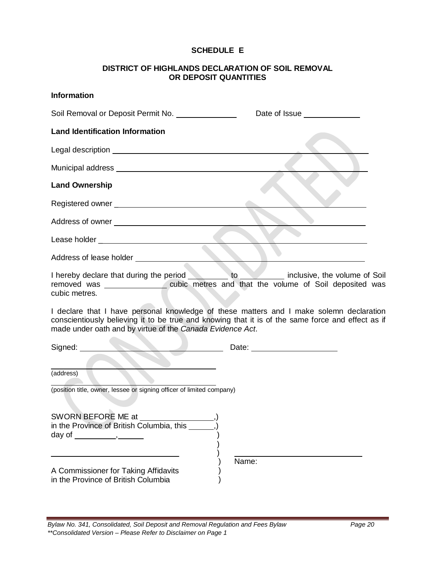### **SCHEDULE E**

### **DISTRICT OF HIGHLANDS DECLARATION OF SOIL REMOVAL OR DEPOSIT QUANTITIES**

| <b>Information</b>                                                                                                                                                                                                                                              |               |
|-----------------------------------------------------------------------------------------------------------------------------------------------------------------------------------------------------------------------------------------------------------------|---------------|
| Soil Removal or Deposit Permit No. [100] Noting Theorem 2016                                                                                                                                                                                                    | Date of Issue |
| <b>Land Identification Information</b>                                                                                                                                                                                                                          |               |
|                                                                                                                                                                                                                                                                 |               |
|                                                                                                                                                                                                                                                                 |               |
| <b>Land Ownership</b>                                                                                                                                                                                                                                           |               |
|                                                                                                                                                                                                                                                                 |               |
|                                                                                                                                                                                                                                                                 |               |
|                                                                                                                                                                                                                                                                 |               |
| Address of lease holder <b>Address</b> of lease holder                                                                                                                                                                                                          |               |
| I hereby declare that during the period to to inclusive, the volume of Soil<br>removed was ___________________cubic metres and that the volume of Soil deposited was<br>cubic metres.                                                                           |               |
| I declare that I have personal knowledge of these matters and I make solemn declaration<br>conscientiously believing it to be true and knowing that it is of the same force and effect as if<br>made under oath and by virtue of the Canada Evidence Act.       |               |
| Date: <u>Date: 2008 and 2008 and 2008 and 2008 and 2008 and 2008 and 2008 and 2008 and 2008 and 2008 and 2008 and 2008 and 2008 and 2008 and 2008 and 2008 and 2008 and 2008 and 2008 and 2008 and 2008 and 2008 and 2008 and 20</u><br>Signed: <u>________</u> |               |
| (address)                                                                                                                                                                                                                                                       |               |
| (position title, owner, lessee or signing officer of limited company)                                                                                                                                                                                           |               |
| SWORN BEFORE ME at<br>in the Province of British Columbia, this ____<br>day of $\_\_\_\_\_\_\$                                                                                                                                                                  |               |
| A Commissioner for Taking Affidavits<br>in the Province of British Columbia                                                                                                                                                                                     | Name:         |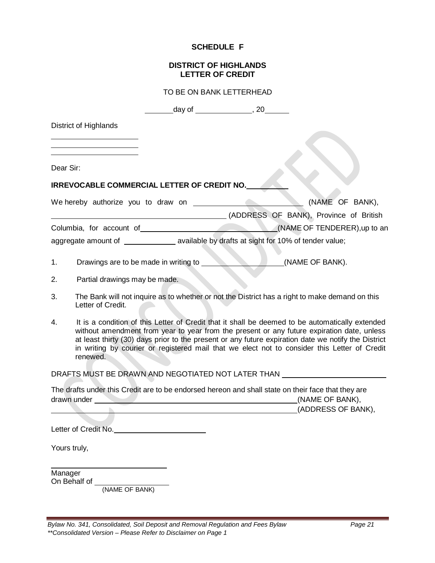#### **SCHEDULE F**

#### **DISTRICT OF HIGHLANDS LETTER OF CREDIT**

| TO BE ON BANK LETTERHEAD |  |
|--------------------------|--|
|--------------------------|--|

|    |                                             | _______day of __________________, 20________ |                                                                                                                                                                                                                                                                                                                                                                                                      |  |
|----|---------------------------------------------|----------------------------------------------|------------------------------------------------------------------------------------------------------------------------------------------------------------------------------------------------------------------------------------------------------------------------------------------------------------------------------------------------------------------------------------------------------|--|
|    | <b>District of Highlands</b>                |                                              |                                                                                                                                                                                                                                                                                                                                                                                                      |  |
|    |                                             |                                              |                                                                                                                                                                                                                                                                                                                                                                                                      |  |
|    | Dear Sir:                                   |                                              |                                                                                                                                                                                                                                                                                                                                                                                                      |  |
|    | IRREVOCABLE COMMERCIAL LETTER OF CREDIT NO. |                                              |                                                                                                                                                                                                                                                                                                                                                                                                      |  |
|    | We hereby authorize you to draw on          |                                              | (NAME OF BANK),                                                                                                                                                                                                                                                                                                                                                                                      |  |
|    |                                             |                                              | (ADDRESS OF BANK), Province of British                                                                                                                                                                                                                                                                                                                                                               |  |
|    |                                             |                                              | Columbia, for account of (NAME OF TENDERER), up to an                                                                                                                                                                                                                                                                                                                                                |  |
|    |                                             |                                              | aggregate amount of ______________ available by drafts at sight for 10% of tender value;                                                                                                                                                                                                                                                                                                             |  |
| 1. | Drawings are to be made in writing to       |                                              | (NAME OF BANK).                                                                                                                                                                                                                                                                                                                                                                                      |  |
| 2. | Partial drawings may be made.               |                                              |                                                                                                                                                                                                                                                                                                                                                                                                      |  |
| 3. | Letter of Credit.                           |                                              | The Bank will not inquire as to whether or not the District has a right to make demand on this                                                                                                                                                                                                                                                                                                       |  |
| 4. | renewed.                                    |                                              | It is a condition of this Letter of Credit that it shall be deemed to be automatically extended<br>without amendment from year to year from the present or any future expiration date, unless<br>at least thirty (30) days prior to the present or any future expiration date we notify the District<br>in writing by courier or registered mail that we elect not to consider this Letter of Credit |  |
|    |                                             |                                              | DRAFTS MUST BE DRAWN AND NEGOTIATED NOT LATER THAN                                                                                                                                                                                                                                                                                                                                                   |  |
|    | drawn under                                 |                                              | The drafts under this Credit are to be endorsed hereon and shall state on their face that they are<br>(NAME OF BANK),                                                                                                                                                                                                                                                                                |  |
|    |                                             |                                              | (ADDRESS OF BANK),                                                                                                                                                                                                                                                                                                                                                                                   |  |
|    | Letter of Credit No.                        |                                              |                                                                                                                                                                                                                                                                                                                                                                                                      |  |
|    | Yours truly,                                |                                              |                                                                                                                                                                                                                                                                                                                                                                                                      |  |
|    | Manager                                     |                                              |                                                                                                                                                                                                                                                                                                                                                                                                      |  |

On Behalf of (NAME OF BANK)